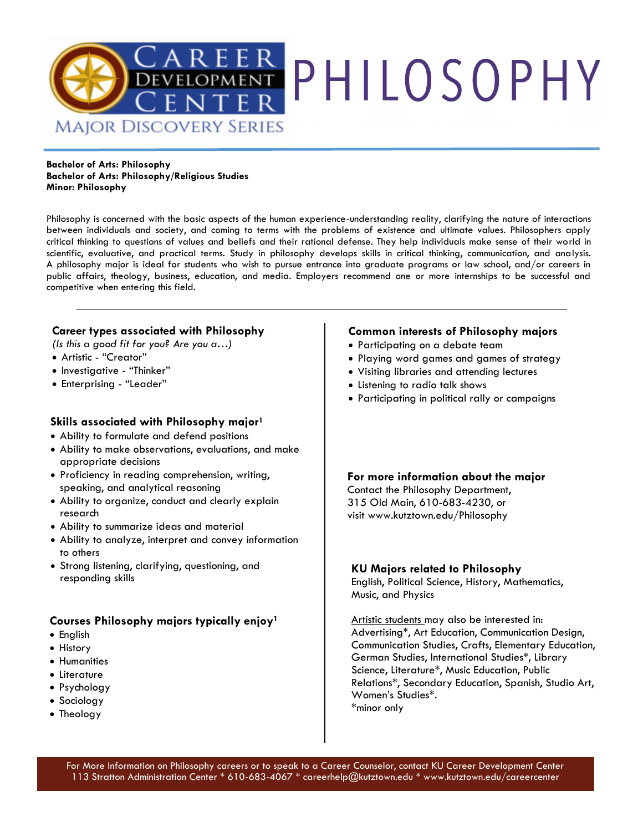

**Bachelor of Arts: Philosophy Bachelor of Arts: Philosophy/Religious Studies Minor: Philosophy** 

Philosophy is concerned with the basic aspects of the human experience-understanding reality, clarifying the nature of interactions between individuals and society, and coming to terms with the problems of existence and ultimate values. Philosophers apply critical thinking to questions of values and beliefs and their rational defense. They help individuals make sense of their world in scientific, evaluative, and practical terms. Study in philosophy develops skills in critical thinking, communication, and analysis. A philosophy major is ideal for students who wish to pursue entrance into graduate programs or law school, and/or careers in public affairs, theology, business, education, and media. Employers recommend one or more internships to be successful and competitive when entering this field.

### **Career types associated with Philosophy**

*(Is this a good fit for you? Are you a…)*

- Artistic "Creator"
- Investigative "Thinker"
- Enterprising "Leader"

### **Skills associated with Philosophy major<sup>1</sup>**

- Ability to formulate and defend positions
- Ability to make observations, evaluations, and make appropriate decisions
- Proficiency in reading comprehension, writing, speaking, and analytical reasoning
- Ability to organize, conduct and clearly explain research
- Ability to summarize ideas and material
- Ability to analyze, interpret and convey information to others
- Strong listening, clarifying, questioning, and responding skills

### **Courses Philosophy majors typically enjoy<sup>1</sup>**

- English
- History
- Humanities
- Literature
- Psychology
- Sociology
- Theology

### **Common interests of Philosophy majors**

- Participating on a debate team
- Playing word games and games of strategy
- Visiting libraries and attending lectures
- Listening to radio talk shows
- Participating in political rally or campaigns

### **For more information about the major** Contact the Philosophy Department,

315 Old Main, 610-683-4230, or visit www.kutztown.edu/Philosophy

#### **KU Majors related to Philosophy**

English, Political Science, History, Mathematics, Music, and Physics

Artistic students may also be interested in: Advertising\*, Art Education, Communication Design, Communication Studies, Crafts, Elementary Education, German Studies, International Studies\*, Library Science, Literature\*, Music Education, Public Relations\*, Secondary Education, Spanish, Studio Art, Women's Studies\*. \*minor only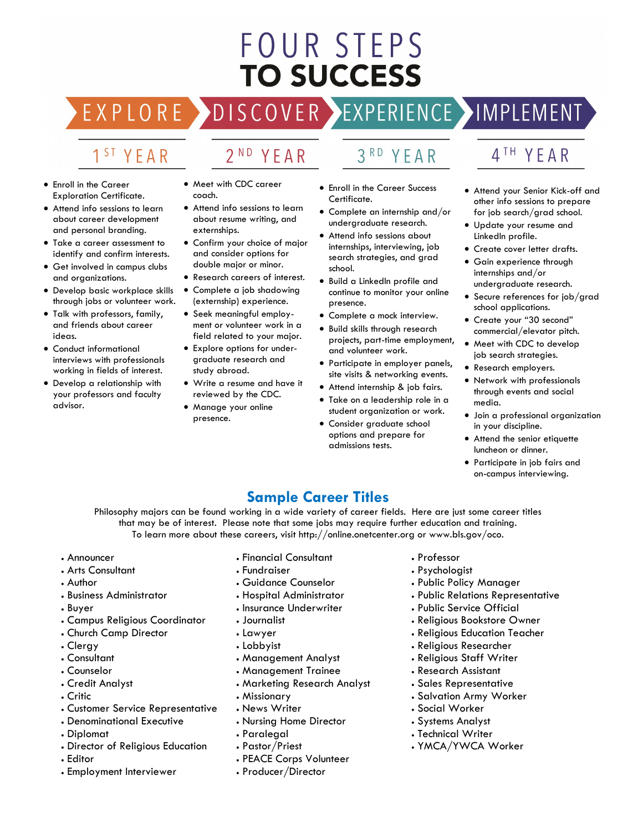# **FOUR STEPS TO SUCCESS**

# DISCOVER EXPERIENCE MOPLEMENT

2<sup>ND</sup> YEAR

# 1<sup>ST</sup> YEAR

EXPLORE >

- Enroll in the Career Exploration Certificate.
- Attend info sessions to learn about career development and personal branding.
- Take a career assessment to identify and confirm interests.
- Get involved in campus clubs and organizations.
- Develop basic workplace skills through jobs or volunteer work.
- Talk with professors, family, and friends about career ideas.
- Conduct informational interviews with professionals working in fields of interest.
- Develop a relationship with your professors and faculty advisor.
- Meet with CDC career coach.
- Attend info sessions to learn about resume writing, and externships.
- Confirm your choice of major and consider options for double major or minor.
- Research careers of interest.
- Complete a job shadowing (externship) experience.
- Seek meaningful employment or volunteer work in a field related to your major.
- Explore options for undergraduate research and study abroad.
- Write a resume and have it reviewed by the CDC.
- Manage your online presence.

# 3RD YEAR

- Enroll in the Career Success Certificate.
- Complete an internship and/or undergraduate research.
- Attend info sessions about internships, interviewing, job search strategies, and grad school.
- Build a LinkedIn profile and continue to monitor your online presence.
- Complete a mock interview.
- Build skills through research projects, part-time employment, and volunteer work.
- Participate in employer panels, site visits & networking events.
- Attend internship & job fairs.
- Take on a leadership role in a student organization or work.
- Consider graduate school options and prepare for admissions tests.

# 4TH YEAR

- Attend your Senior Kick-off and other info sessions to prepare for job search/grad school.
- Update your resume and LinkedIn profile.
- Create cover letter drafts.
- Gain experience through internships and/or undergraduate research.
- Secure references for job/grad school applications.
- Create your "30 second" commercial/elevator pitch.
- Meet with CDC to develop job search strategies.
- Research employers.
- Network with professionals through events and social media.
- Join a professional organization in your discipline.
- Attend the senior etiquette luncheon or dinner.
- Participate in job fairs and on-campus interviewing.

# **Sample Career Titles**

Philosophy majors can be found working in a wide variety of career fields. Here are just some career titles that may be of interest. Please note that some jobs may require further education and training. To learn more about these careers, visit http://online.onetcenter.org or www.bls.gov/oco.

- Announcer
- Arts Consultant
- Author
- Business Administrator
- Buyer
- Campus Religious Coordinator
- Church Camp Director
- Clergy
- Consultant
- Counselor
- Credit Analyst
- Critic
- Customer Service Representative
- Denominational Executive
- Diplomat
- Director of Religious Education
- Editor
- Employment Interviewer
- Financial Consultant
- Fundraiser
- Guidance Counselor
- Hospital Administrator
- Insurance Underwriter
- Journalist
- Lawyer
- Lobbyist
- Management Analyst
- Management Trainee
- Marketing Research Analyst
- Missionary
- News Writer
- Nursing Home Director
- Paralegal
- Pastor/Priest
- PEACE Corps Volunteer
- Producer/Director
- Professor
- Psychologist
- Public Policy Manager
- Public Relations Representative
- Public Service Official
- Religious Bookstore Owner
- Religious Education Teacher
- Religious Researcher
- Religious Staff Writer
- Research Assistant
- Sales Representative
- Salvation Army Worker
- Social Worker
- Systems Analyst
- Technical Writer
- YMCA/YWCA Worker
- -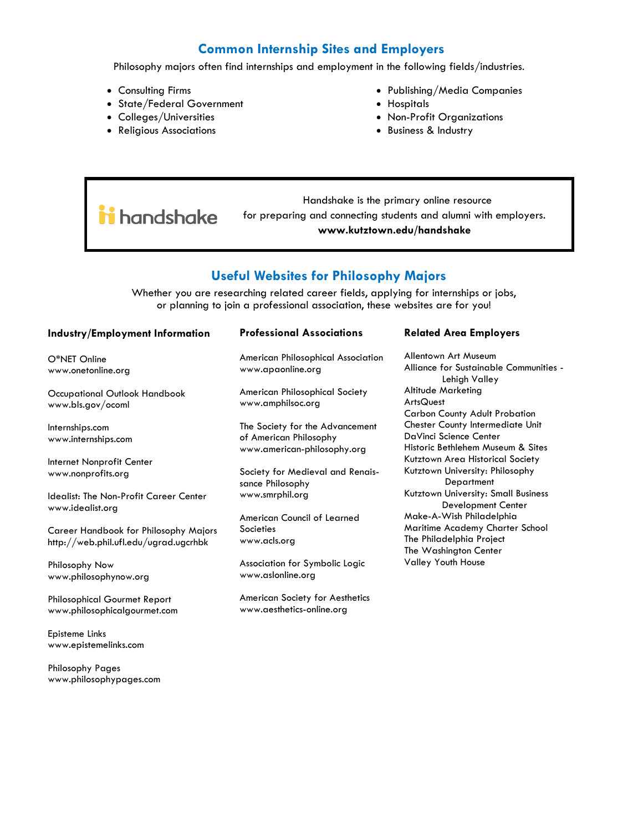## **Common Internship Sites and Employers**

Philosophy majors often find internships and employment in the following fields/industries.

- Consulting Firms
- State/Federal Government
- Colleges/Universities
- Religious Associations
- Publishing/Media Companies
- Hospitals
- Non-Profit Organizations
- Business & Industry

 Handshake is the primary online resource ii handshake for preparing and connecting students and alumni with employers. **www.kutztown.edu/handshake**

### **Useful Websites for Philosophy Majors**

Whether you are researching related career fields, applying for internships or jobs, or planning to join a professional association, these websites are for you!

#### **Industry/Employment Information**

O\*NET Online www.onetonline.org

Occupational Outlook Handbook www.bls.gov/ocoml

Internships.com www.internships.com

Internet Nonprofit Center www.nonprofits.org

Idealist: The Non-Profit Career Center www.idealist.org

Career Handbook for Philosophy Majors http://web.phil.ufl.edu/ugrad.ugcrhbk

Philosophy Now www.philosophynow.org

Philosophical Gourmet Report www.philosophicalgourmet.com

Episteme Links www.epistemelinks.com

Philosophy Pages www.philosophypages.com

#### **Professional Associations**

American Philosophical Association www.apaonline.org

American Philosophical Society www.amphilsoc.org

The Society for the Advancement of American Philosophy www.american-philosophy.org

Society for Medieval and Renaissance Philosophy www.smrphil.org

American Council of Learned **Societies** www.acls.org

Association for Symbolic Logic www.aslonline.org

American Society for Aesthetics www.aesthetics-online.org

#### **Related Area Employers**

Allentown Art Museum Alliance for Sustainable Communities - Lehigh Valley Altitude Marketing **ArtsQuest** Carbon County Adult Probation Chester County Intermediate Unit DaVinci Science Center Historic Bethlehem Museum & Sites Kutztown Area Historical Society Kutztown University: Philosophy **Department** Kutztown University: Small Business Development Center Make-A-Wish Philadelphia Maritime Academy Charter School The Philadelphia Project The Washington Center Valley Youth House